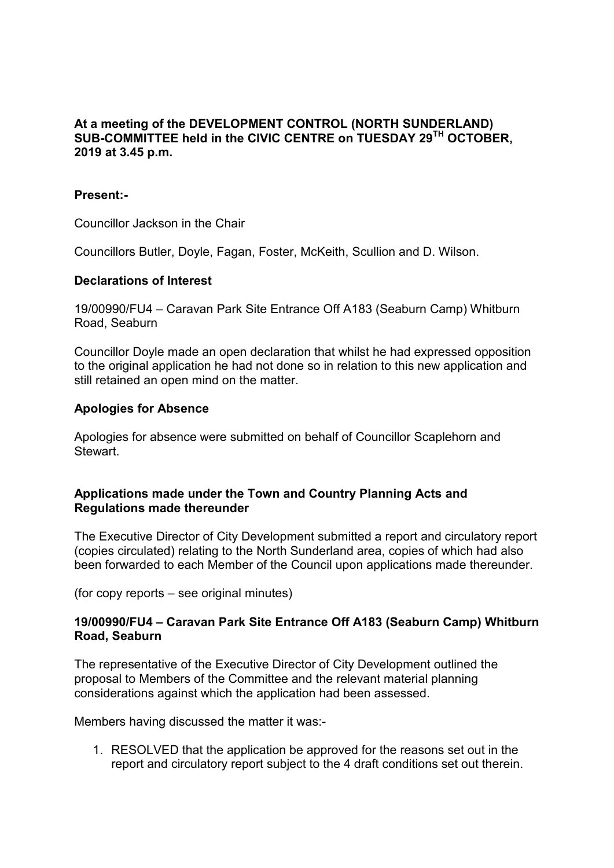# **At a meeting of the DEVELOPMENT CONTROL (NORTH SUNDERLAND) SUB-COMMITTEE held in the CIVIC CENTRE on TUESDAY 29 TH OCTOBER, 2019 at 3.45 p.m.**

## **Present:-**

Councillor Jackson in the Chair

Councillors Butler, Doyle, Fagan, Foster, McKeith, Scullion and D. Wilson.

### **Declarations of Interest**

19/00990/FU4 – Caravan Park Site Entrance Off A183 (Seaburn Camp) Whitburn Road, Seaburn

Councillor Doyle made an open declaration that whilst he had expressed opposition to the original application he had not done so in relation to this new application and still retained an open mind on the matter.

### **Apologies for Absence**

Apologies for absence were submitted on behalf of Councillor Scaplehorn and **Stewart** 

### **Applications made under the Town and Country Planning Acts and Regulations made thereunder**

The Executive Director of City Development submitted a report and circulatory report (copies circulated) relating to the North Sunderland area, copies of which had also been forwarded to each Member of the Council upon applications made thereunder.

(for copy reports – see original minutes)

## **19/00990/FU4 – Caravan Park Site Entrance Off A183 (Seaburn Camp) Whitburn Road, Seaburn**

The representative of the Executive Director of City Development outlined the proposal to Members of the Committee and the relevant material planning considerations against which the application had been assessed.

Members having discussed the matter it was:-

1. RESOLVED that the application be approved for the reasons set out in the report and circulatory report subject to the 4 draft conditions set out therein.